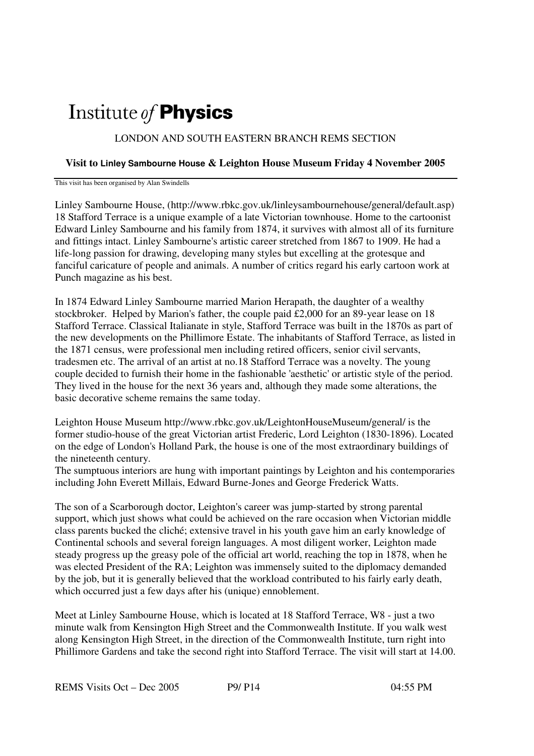## Institute of **Physics**

## LONDON AND SOUTH EASTERN BRANCH REMS SECTION

## **Visit to Linley Sambourne House & Leighton House Museum Friday 4 November 2005**

This visit has been organised by Alan Swindells

Linley Sambourne House, (http://www.rbkc.gov.uk/linleysambournehouse/general/default.asp) 18 Stafford Terrace is a unique example of a late Victorian townhouse. Home to the cartoonist Edward Linley Sambourne and his family from 1874, it survives with almost all of its furniture and fittings intact. Linley Sambourne's artistic career stretched from 1867 to 1909. He had a life-long passion for drawing, developing many styles but excelling at the grotesque and fanciful caricature of people and animals. A number of critics regard his early cartoon work at Punch magazine as his best.

In 1874 Edward Linley Sambourne married Marion Herapath, the daughter of a wealthy stockbroker. Helped by Marion's father, the couple paid £2,000 for an 89-year lease on 18 Stafford Terrace. Classical Italianate in style, Stafford Terrace was built in the 1870s as part of the new developments on the Phillimore Estate. The inhabitants of Stafford Terrace, as listed in the 1871 census, were professional men including retired officers, senior civil servants, tradesmen etc. The arrival of an artist at no.18 Stafford Terrace was a novelty. The young couple decided to furnish their home in the fashionable 'aesthetic' or artistic style of the period. They lived in the house for the next 36 years and, although they made some alterations, the basic decorative scheme remains the same today.

Leighton House Museum http://www.rbkc.gov.uk/LeightonHouseMuseum/general/ is the former studio-house of the great Victorian artist Frederic, Lord Leighton (1830-1896). Located on the edge of London's Holland Park, the house is one of the most extraordinary buildings of the nineteenth century.

The sumptuous interiors are hung with important paintings by Leighton and his contemporaries including John Everett Millais, Edward Burne-Jones and George Frederick Watts.

The son of a Scarborough doctor, Leighton's career was jump-started by strong parental support, which just shows what could be achieved on the rare occasion when Victorian middle class parents bucked the cliché; extensive travel in his youth gave him an early knowledge of Continental schools and several foreign languages. A most diligent worker, Leighton made steady progress up the greasy pole of the official art world, reaching the top in 1878, when he was elected President of the RA; Leighton was immensely suited to the diplomacy demanded by the job, but it is generally believed that the workload contributed to his fairly early death, which occurred just a few days after his (unique) ennoblement.

Meet at Linley Sambourne House, which is located at 18 Stafford Terrace, W8 - just a two minute walk from Kensington High Street and the Commonwealth Institute. If you walk west along Kensington High Street, in the direction of the Commonwealth Institute, turn right into Phillimore Gardens and take the second right into Stafford Terrace. The visit will start at 14.00.